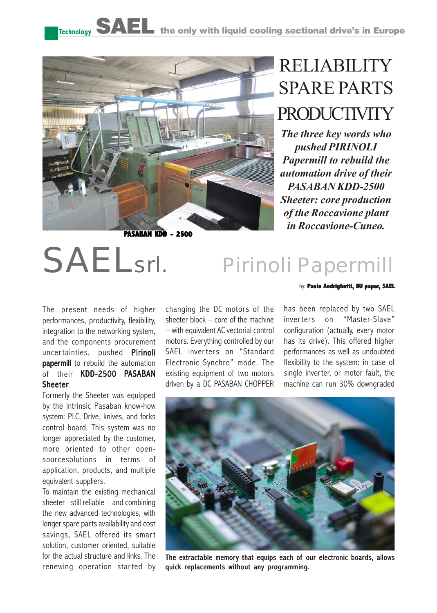

**PASABAN KDD - 2500**

## RELIABILITY SPARE PARTS PRODUCTIVITY

*The three key words who pushed PIRINOLI Papermill to rebuild the automation drive of their PASABAN KDD-2500 Sheeter: core production of the Roccavione plant in Roccavione-Cuneo.*

## SAELsrl. Pirinoli Papermill

The present needs of higher performances, productivity, flexibility, integration to the networking system, and the components procurement uncertainties, pushed Pirinoli papermill to rebuild the automation of their KDD-2500 PASABAN Sheeter.

Formerly the Sheeter was equipped by the intrinsic Pasaban know-how system: PLC, Drive, knives, and forks control board. This system was no longer appreciated by the customer, more oriented to other opensourcesolutions in terms of application, products, and multiple equivalent suppliers.

To maintain the existing mechanical sheeter– still reliable – and combining the new advanced technologies, with longer spare parts availability and cost savings, SAEL offered its smart solution, customer oriented, suitable for the actual structure and links. The renewing operation started by changing the DC motors of the sheeter block – core of the machine – with equivalent AC vectorial control motors. Everything controlled by our SAEL inverters on "Standard Electronic Synchro" mode. The existing equipment of two motors driven by a DC PASABAN CHOPPER by: **Paolo Andrighetti, BU paper, SAEL** 

has been replaced by two SAEL inverters on "Master-Slave" configuration (actually, every motor has its drive). This offered higher performances as well as undoubted flexibility to the system: in case of single inverter, or motor fault, the machine can run 30% downgraded



The extractable memory that equips each of our electronic boards, allows quick replacements without any programming.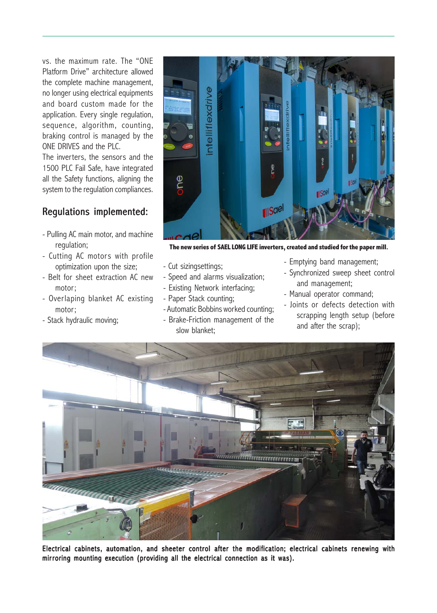vs. the maximum rate. The "ONE Platform Drive" architecture allowed the complete machine management, no longer using electrical equipments and board custom made for the application. Every single regulation, sequence, algorithm, counting, braking control is managed by the ONE DRIVES and the PLC.

The inverters, the sensors and the 1500 PLC Fail Safe, have integrated all the Safety functions, aligning the system to the regulation compliances.

## Regulations implemented:

- Pulling AC main motor, and machine regulation;
- Cutting AC motors with profile optimization upon the size;
- Belt for sheet extraction AC new motor;
- Overlaping blanket AC existing motor;
- Stack hydraulic moving;



**The new series of SAEL LONG LIFE inverters, created and studied for the paper mill.**

- Cut sizingsettings;
- Speed and alarms visualization;
- Existing Network interfacing;
- Paper Stack counting;
- Automatic Bobbins worked counting;
- Brake-Friction management of the slow blanket;
- Emptying band management;
- Synchronized sweep sheet control and management;
- Manual operator command;
- Joints or defects detection with scrapping length setup (before and after the scrap);



Electrical cabinets, automation, and sheeter control after the modification; electrical cabinets renewing with mirroring mounting execution (providing all the electrical connection as it was).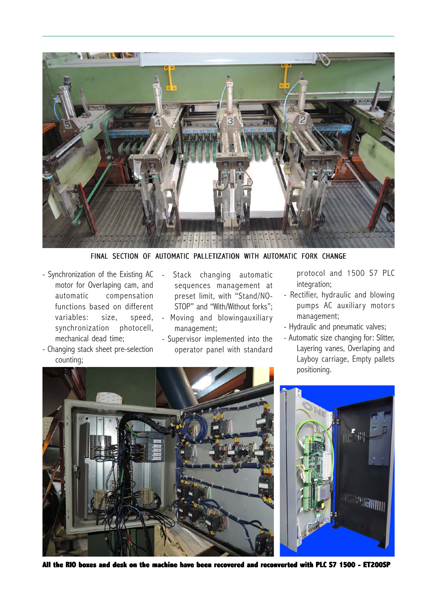

FINAL SECTION OF AUTOMATIC PALLETIZATION WITH AUTOMATIC FORK CHANGE

- Synchronization of the Existing AC motor for Overlaping cam, and automatic compensation functions based on different variables: size, speed, synchronization photocell, mechanical dead time;

- Changing stack sheet pre-selection

counting;

- Stack changing automatic sequences management at preset limit, with "Stand/NO-STOP" and "With/Without forks";
- Moving and blowingauxiliary management;
- Supervisor implemented into the operator panel with standard

protocol and 1500 S7 PLC integration;

- Rectifier, hydraulic and blowing pumps AC auxiliary motors management;
- Hydraulic and pneumatic valves;
- Automatic size changing for: Slitter, Layering vanes, Overlaping and Layboy carriage, Empty pallets positioning.





**e RIO boxes and desk on the machine have been recovered and reconverted with PLC S7 1500 - ET200SP**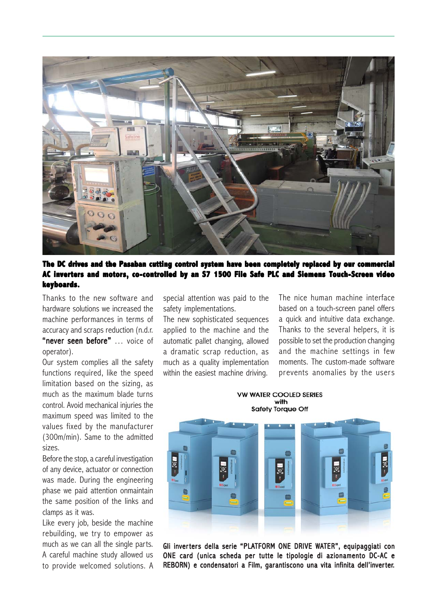

**The DC drives and the Pasaban cutting control system have been completely replaced by our commercial The DC drives control system been replaced our AC inverters and motor s motors, co-contr co-controlled by an S7 1500 File Saf y an S7 1500 File Safe PLC and Siemens C and Touch-Screen video keyboards. keyboards.**

Thanks to the new software and hardware solutions we increased the machine performances in terms of accuracy and scraps reduction (n.d.r. "never seen before" ... voice of operator).

Our system complies all the safety functions required, like the speed limitation based on the sizing, as much as the maximum blade turns control. Avoid mechanical injuries the maximum speed was limited to the values fixed by the manufacturer (300m/min). Same to the admitted sizes.

Before the stop, a careful investigation of any device, actuator or connection was made. During the engineering phase we paid attention onmaintain the same position of the links and clamps as it was.

Like every job, beside the machine rebuilding, we try to empower as much as we can all the single parts. A careful machine study allowed us to provide welcomed solutions. A special attention was paid to the safety implementations.

The new sophisticated sequences applied to the machine and the automatic pallet changing, allowed a dramatic scrap reduction, as much as a quality implementation within the easiest machine driving.

The nice human machine interface based on a touch-screen panel offers a quick and intuitive data exchange. Thanks to the several helpers, it is possible to set the production changing and the machine settings in few moments. The custom-made software prevents anomalies by the users

**VW WATER COOLED SERIES** with **Safety Torque Off** 



Gli inverters della serie "PLATFORM ONE DRIVE WATER", equipaggiati con ONE card (unica scheda per tutte le tipologie di azionamento DC-AC e REBORN) e condensatori a Film, garantiscono una vita infinita dell'inverter.